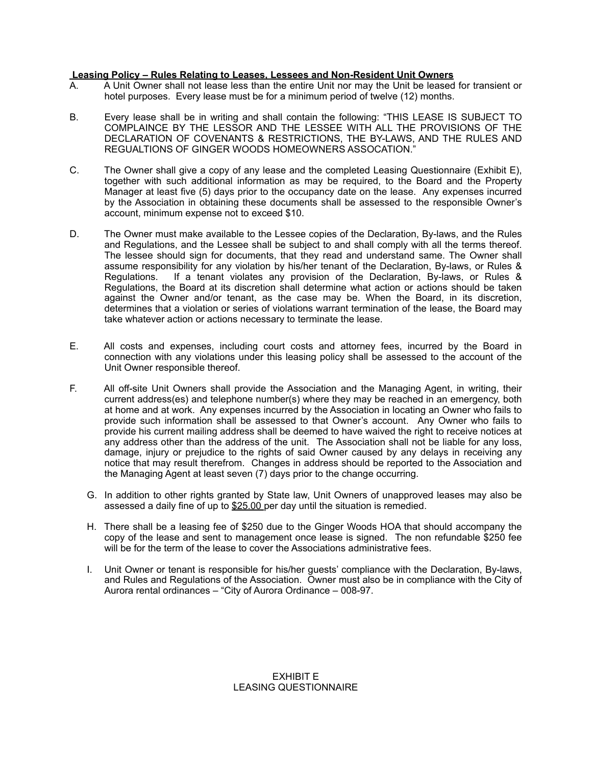## **Leasing Policy – Rules Relating to Leases, Lessees and Non-Resident Unit Owners**

- A. A Unit Owner shall not lease less than the entire Unit nor may the Unit be leased for transient or hotel purposes. Every lease must be for a minimum period of twelve (12) months.
- B. Every lease shall be in writing and shall contain the following: "THIS LEASE IS SUBJECT TO COMPLAINCE BY THE LESSOR AND THE LESSEE WITH ALL THE PROVISIONS OF THE DECLARATION OF COVENANTS & RESTRICTIONS, THE BY-LAWS, AND THE RULES AND REGUALTIONS OF GINGER WOODS HOMEOWNERS ASSOCATION."
- C. The Owner shall give a copy of any lease and the completed Leasing Questionnaire (Exhibit E), together with such additional information as may be required, to the Board and the Property Manager at least five (5) days prior to the occupancy date on the lease. Any expenses incurred by the Association in obtaining these documents shall be assessed to the responsible Owner's account, minimum expense not to exceed \$10.
- D. The Owner must make available to the Lessee copies of the Declaration, By-laws, and the Rules and Regulations, and the Lessee shall be subject to and shall comply with all the terms thereof. The lessee should sign for documents, that they read and understand same. The Owner shall assume responsibility for any violation by his/her tenant of the Declaration, By-laws, or Rules & Regulations. If a tenant violates any provision of the Declaration, By-laws, or Rules & Regulations, the Board at its discretion shall determine what action or actions should be taken against the Owner and/or tenant, as the case may be. When the Board, in its discretion, determines that a violation or series of violations warrant termination of the lease, the Board may take whatever action or actions necessary to terminate the lease.
- E. All costs and expenses, including court costs and attorney fees, incurred by the Board in connection with any violations under this leasing policy shall be assessed to the account of the Unit Owner responsible thereof.
- F. All off-site Unit Owners shall provide the Association and the Managing Agent, in writing, their current address(es) and telephone number(s) where they may be reached in an emergency, both at home and at work. Any expenses incurred by the Association in locating an Owner who fails to provide such information shall be assessed to that Owner's account. Any Owner who fails to provide his current mailing address shall be deemed to have waived the right to receive notices at any address other than the address of the unit. The Association shall not be liable for any loss, damage, injury or prejudice to the rights of said Owner caused by any delays in receiving any notice that may result therefrom. Changes in address should be reported to the Association and the Managing Agent at least seven (7) days prior to the change occurring.
	- G. In addition to other rights granted by State law, Unit Owners of unapproved leases may also be assessed a daily fine of up to  $$25.00$  per day until the situation is remedied.
	- H. There shall be a leasing fee of \$250 due to the Ginger Woods HOA that should accompany the copy of the lease and sent to management once lease is signed. The non refundable \$250 fee will be for the term of the lease to cover the Associations administrative fees.
	- I. Unit Owner or tenant is responsible for his/her guests' compliance with the Declaration, By-laws, and Rules and Regulations of the Association. Owner must also be in compliance with the City of Aurora rental ordinances – "City of Aurora Ordinance – 008-97.

EXHIBIT E LEASING QUESTIONNAIRE